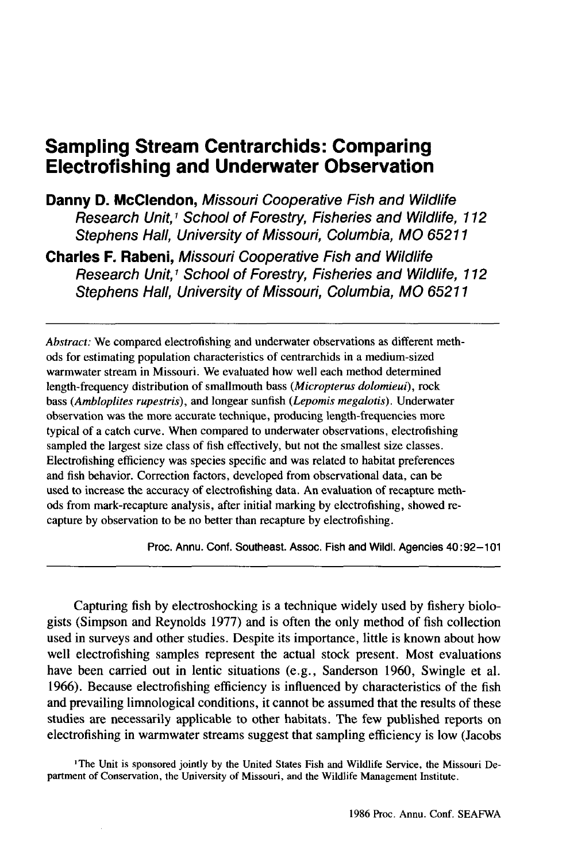# **Sampling Stream Centrarchids: Comparing Electrofishing and Underwater Observation**

**Danny D. McClendon, Missouri Cooperative Fish and Wildlife Research** Unit, <sup>1</sup> **School of Forestry, Fisheries and Wildlife, 112 Stephens Hall, University of Missouri, Columbia, MO 65211**

**Charles F. Rabeni, Missouri Cooperative Fish and Wildlife Research** Unit, <sup>1</sup> **School of Forestry, Fisheries and Wildlife, 112 Stephens Hall, University of Missouri, Columbia, MO 65211**

*Abstract:* We compared electrofishing and underwater observations as different methods for estimating population characteristics of centrarchids in a medium-sized warmwater stream in Missouri. We evaluated how well each method determined length-frequency distribution of smallmouth bass *(Micropterus dolomieui),* rock bass *(Ambloplites rupestris),* and longear sunfish *(Lepomis megalotis).* Underwater observation was the more accurate technique, producing length-frequencies more typical of a catch curve. When compared to underwater observations, electrofishing sampled the largest size class of fish effectively, but not the smallest size classes. Electrofishing efficiency was species specific and was related to habitat preferences and fish behavior. Correction factors, developed from observational data, can be used to increase the accuracy of electrofishing data. An evaluation of recapture methods from mark-recapture analysis, after initial marking by electrofishing, showed recapture by observation to be no better than recapture by electrofishing.

Proc. Annu. Conf. Southeast. Assoc. Fish and Wildl. Agencies 40:92-101

Capturing fish by electroshocking is a technique widely used by fishery biologists (Simpson and Reynolds 1977) and is often the only method of fish collection used in surveys and other studies. Despite its importance, little is known about how well electrofishing samples represent the actual stock present. Most evaluations have been carried out in lentic situations (e.g., Sanderson 1960, Swingle et al. 1966). Because electrofishing efficiency is influenced by characteristics of the fish and prevailing limnological conditions, it cannot be assumed that the results of these studies are necessarily applicable to other habitats. The few published reports on electrofishing in warmwater streams suggest that sampling efficiency is low (Jacobs

'The Unit is sponsored jointly by the United States Fish and Wildlife Service, the Missouri Department of Conservation, the University of Missouri, and the Wildlife Management Institute.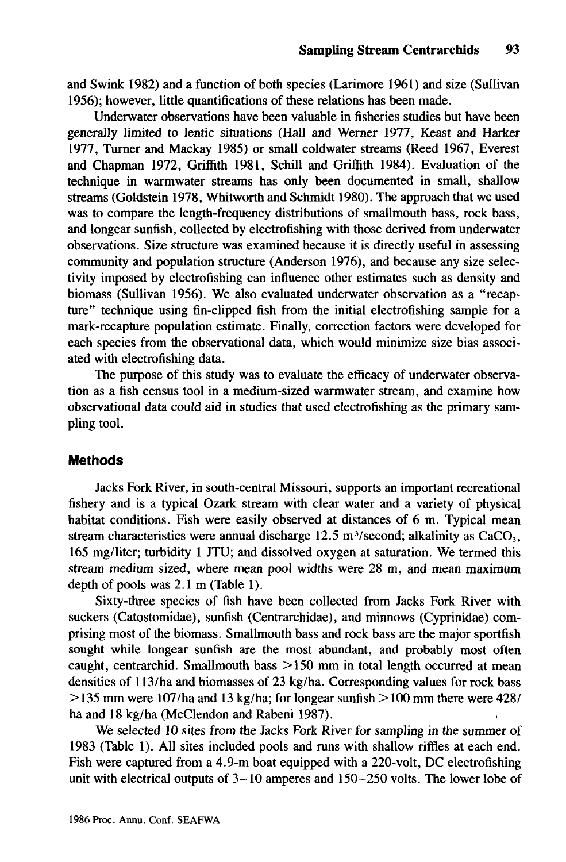and Swink 1982) and a function of both species (Larimore 1961) and size (Sullivan 1956); however, little quantifications of these relations has been made.

Underwater observations have been valuable in fisheries studies but have been generally limited to lentic situations (Hall and Werner 1977, Keast and Harker 1977, Turner and Mackay 1985) or small coldwater streams (Reed 1967, Everest and Chapman 1972, Griffith 1981, Schill and Griffith 1984). Evaluation of the technique in warmwater streams has only been documented in small, shallow streams (Goldstein 1978, Whitworth and Schmidt 1980). The approach that we used was to compare the length-frequency distributions of smallmouth bass, rock bass, and longear sunfish, collected by electrofishing with those derived from underwater observations. Size structure was examined because it is directly useful in assessing community and population structure (Anderson 1976), and because any size selectivity imposed by electrofishing can influence other estimates such as density and biomass (Sullivan 1956). We also evaluated underwater observation as a "recapture" technique using fin-clipped fish from the initial electrofishing sample for a mark-recapture population estimate. Finally, correction factors were developed for each species from the observational data, which would minimize size bias associated with electrofishing data.

The purpose of this study was to evaluate the efficacy of underwater observation as a fish census tool in a medium-sized warmwater stream, and examine how observational data could aid in studies that used electrofishing as the primary sampling tool.

### **Methods**

Jacks Fork River, in south-central Missouri, supports an important recreational fishery and is a typical Ozark stream with clear water and a variety of physical habitat conditions. Fish were easily observed at distances of 6 m. Typical mean stream characteristics were annual discharge 12.5 m<sup>3</sup>/second; alkalinity as  $CaCO<sub>3</sub>$ , 165 mg/liter; turbidity 1 JTU; and dissolved oxygen at saturation. We termed this stream medium sized, where mean pool widths were 28 m, and mean maximum depth of pools was 2.1 m (Table 1).

Sixty-three species of fish have been collected from Jacks Fork River with suckers (Catostomidae), sunfish (Centrarchidae), and minnows (Cyprinidae) comprising most of the biomass. Smallmouth bass and rock bass are the major sportfish sought while longear sunfish are the most abundant, and probably most often caught, centrarchid. Smallmouth bass  $>150$  mm in total length occurred at mean densities of 113/ha and biomasses of 23 kg/ha. Corresponding values for rock bass  $>$  135 mm were 107/ha and 13 kg/ha; for longear sunfish  $>$  100 mm there were 428/ ha and 18 kg/ha (McClendon and Rabeni 1987).

We selected 10 sites from the Jacks Fork River for sampling in the summer of 1983 (Table 1). All sites included pools and runs with shallow riffles at each end. Fish were captured from a 4.9-m boat equipped with a 220-volt, DC electrofishing unit with electrical outputs of  $3-10$  amperes and  $150-250$  volts. The lower lobe of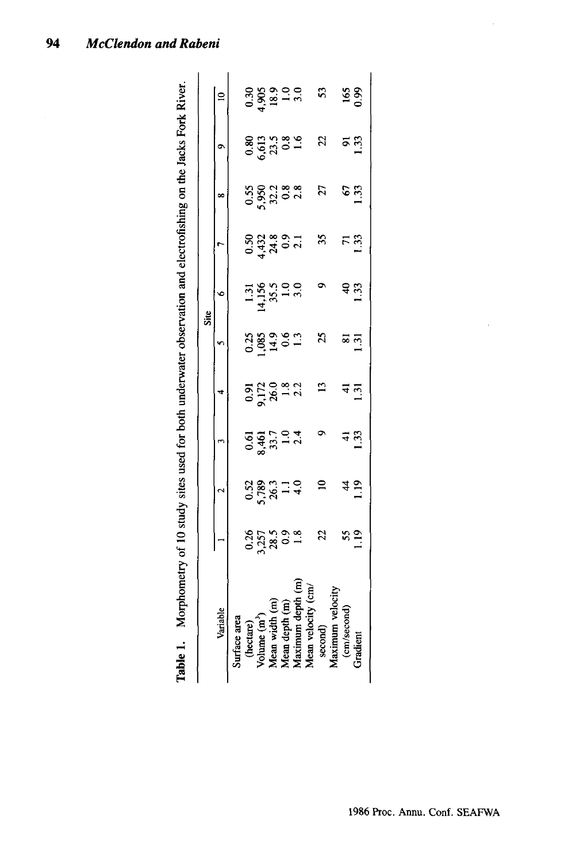| 88<br>6533<br>682<br>22<br>ត<br>ក្ម<br>$\circ$<br>0.55<br>5,952 3 3 3<br>5,952 3 3<br>27<br>$\mathcal{L}$<br>$\infty$<br>35<br>5<br>0.52 30 31<br>0.52 30 31<br>$\overline{r}$<br>$1.31$<br>$4,156$<br>$35.5$<br>$1.0$<br>$3.0$<br>န <u>ကို</u><br>Site<br>$0.389$<br>$0.989$<br>$0.3$<br>$0.3$<br>25<br>ន ភ<br>1.31<br>$0.912$<br>$9.172$<br>$9.13$<br>$1.3$<br>$2.3$<br>$\overline{13}$<br>4<br>$0.61$<br>$8.461$<br>$7.7$<br>$1.0$<br>$2.4$<br>4 ո<br>1 33<br>$\mathbf{r}$<br>$0.52$<br>$5.789$<br>$1.1$<br>$4.9$<br>$4.9$<br>$\tilde{=}$<br>4<br>$0.357$<br>$2.578$<br>$0.3$<br>$0.3$<br>$1.8$<br>22<br>$\frac{55}{10}$<br>velocit<br>Variable | $\mathbf{a}$ |  |       |  |                                      | S3 |         |        | 165<br>0.99         |
|----------------------------------------------------------------------------------------------------------------------------------------------------------------------------------------------------------------------------------------------------------------------------------------------------------------------------------------------------------------------------------------------------------------------------------------------------------------------------------------------------------------------------------------------------------------------------------------------------------------------------------------------------|--------------|--|-------|--|--------------------------------------|----|---------|--------|---------------------|
|                                                                                                                                                                                                                                                                                                                                                                                                                                                                                                                                                                                                                                                    |              |  |       |  |                                      |    |         |        |                     |
|                                                                                                                                                                                                                                                                                                                                                                                                                                                                                                                                                                                                                                                    |              |  |       |  |                                      |    |         |        | 1.33                |
|                                                                                                                                                                                                                                                                                                                                                                                                                                                                                                                                                                                                                                                    |              |  |       |  |                                      |    |         |        | 133                 |
|                                                                                                                                                                                                                                                                                                                                                                                                                                                                                                                                                                                                                                                    |              |  |       |  |                                      |    |         |        |                     |
|                                                                                                                                                                                                                                                                                                                                                                                                                                                                                                                                                                                                                                                    |              |  |       |  |                                      |    |         |        |                     |
|                                                                                                                                                                                                                                                                                                                                                                                                                                                                                                                                                                                                                                                    |              |  |       |  |                                      |    |         |        | 1.31                |
|                                                                                                                                                                                                                                                                                                                                                                                                                                                                                                                                                                                                                                                    |              |  |       |  |                                      |    |         |        |                     |
|                                                                                                                                                                                                                                                                                                                                                                                                                                                                                                                                                                                                                                                    |              |  |       |  |                                      |    |         |        | $\frac{2}{1}$       |
|                                                                                                                                                                                                                                                                                                                                                                                                                                                                                                                                                                                                                                                    |              |  |       |  |                                      |    |         |        |                     |
| I                                                                                                                                                                                                                                                                                                                                                                                                                                                                                                                                                                                                                                                  |              |  | nean. |  | lean velocit                         |    | Maximum |        | <b><i>dient</i></b> |
|                                                                                                                                                                                                                                                                                                                                                                                                                                                                                                                                                                                                                                                    |              |  |       |  | 0.369.0.0<br>0.969.0.0.0<br>0.97.9.0 |    |         | second | (cm/second)         |

Table 1. Morphometry of 10 study sites used for both underwater observation and electrofishing on the Jacks Fork River. **Table I.** Morphometry of 10 study sites used for both underwater observation and electrofishing on the Jacks Fork River.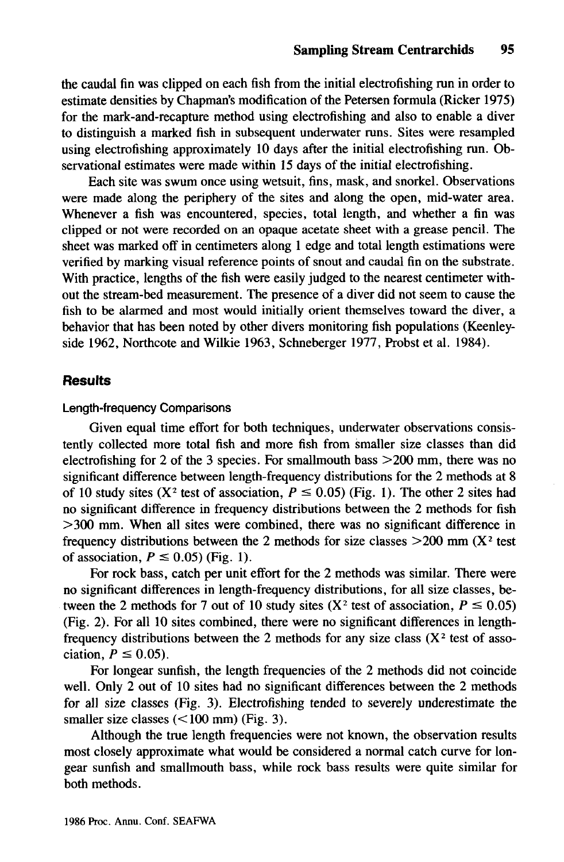the caudal fin was clipped on each fish from the initial electrofishing run in order to estimate densities by Chapman's modification of the Petersen formula (Ricker 1975) for the mark-and-recapture method using electrofishing and also to enable a diver to distinguish a marked fish in subsequent underwater runs. Sites were resampled using electrofishing approximately 10 days after the initial electrofishing run. Observational estimates were made within 15 days of the initial electrofishing.

Each site was swum once using wetsuit, fins, mask, and snorkel. Observations were made along the periphery of the sites and along the open, mid-water area. Whenever a fish was encountered, species, total length, and whether a fin was clipped or not were recorded on an opaque acetate sheet with a grease pencil. The sheet was marked off in centimeters along 1 edge and total length estimations were verified by marking visual reference points of snout and caudal fin on the substrate. With practice, lengths of the fish were easily judged to the nearest centimeter without the stream-bed measurement. The presence of a diver did not seem to cause the fish to be alarmed and most would initially orient themselves toward the diver, a behavior that has been noted by other divers monitoring fish populations (Keenleyside 1962, Northcote and Wilkie 1963, Schneberger 1977, Probst et al. 1984).

### **Results**

#### Length-frequency Comparisons

Given equal time effort for both techniques, underwater observations consistently collected more total fish and more fish from smaller size classes than did electrofishing for 2 of the 3 species. For smallmouth bass  $>200$  mm, there was no significant difference between length-frequency distributions for the 2 methods at 8 of 10 study sites (X<sup>2</sup> test of association,  $P \le 0.05$ ) (Fig. 1). The other 2 sites had no significant difference in frequency distributions between the 2 methods for fish >300 mm. When all sites were combined, there was no significant difference in frequency distributions between the 2 methods for size classes  $>200$  mm (X<sup>2</sup> test of association,  $P \le 0.05$ ) (Fig. 1).

For rock bass, catch per unit effort for the 2 methods was similar. There were no significant differences in length-frequency distributions, for all size classes, between the 2 methods for 7 out of 10 study sites (X<sup>2</sup> test of association,  $P \le 0.05$ ) (Fig. 2). For all 10 sites combined, there were no significant differences in lengthfrequency distributions between the 2 methods for any size class  $(X^2$  test of association,  $P \le 0.05$ ).

For longear sunfish, the length frequencies of the 2 methods did not coincide well. Only 2 out of 10 sites had no significant differences between the 2 methods for all size classes (Fig. 3). Electrofishing tended to severely underestimate the smaller size classes  $(<100$  mm) (Fig. 3).

Although the true length frequencies were not known, the observation results most closely approximate what would be considered a normal catch curve for longear sunfish and smallmouth bass, while rock bass results were quite similar for both methods.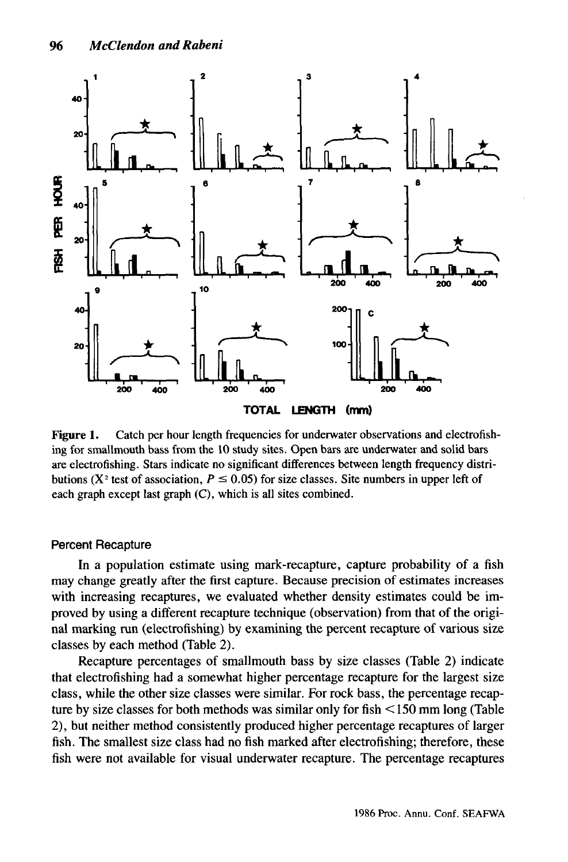

Figure 1. Catch per hour length frequencies for underwater observations and electrofishing for smallmouth bass from the 10 study sites. Open bars are underwater and solid bars are electrofishing. Stars indicate no significant differences between length frequency distributions ( $X^2$  test of association,  $P \le 0.05$ ) for size classes. Site numbers in upper left of each graph except last graph (C), which is all sites combined.

#### Percent Recapture

In a population estimate using mark-recapture, capture probability of a fish may change greatly after the first capture. Because precision of estimates increases with increasing recaptures, we evaluated whether density estimates could be improved by using a different recapture technique (observation) from that of the original marking run (electrofishing) by examining the percent recapture of various size classes by each method (Table 2).

Recapture percentages of smallmouth bass by size classes (Table 2) indicate that electrofishing had a somewhat higher percentage recapture for the largest size class, while the other size classes were similar. For rock bass, the percentage recapture by size classes for both methods was similar only for fish <150 mm long (Table 2), but neither method consistently produced higher percentage recaptures of larger fish. The smallest size class had no fish marked after electrofishing; therefore, these fish were not available for visual underwater recapture. The percentage recaptures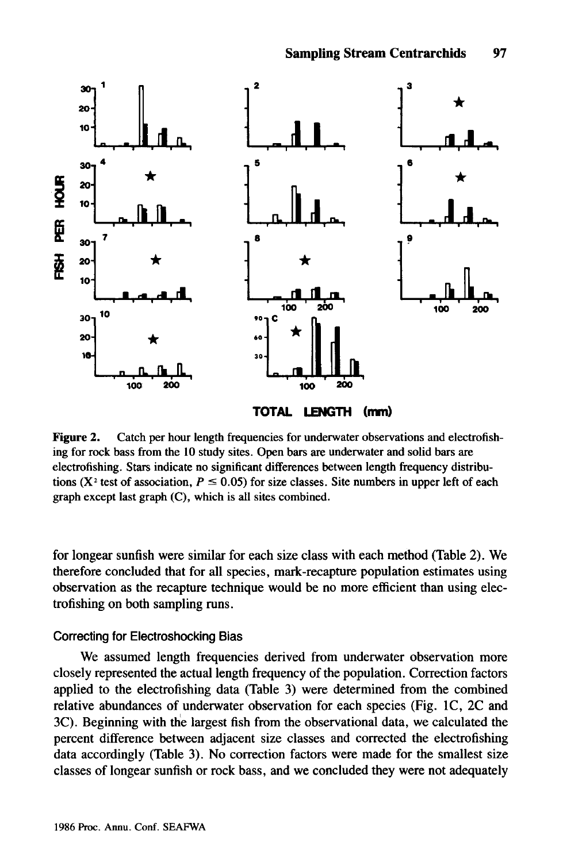

Figure 2. Catch per hour length frequencies for underwater observations and electrofishing for rock bass from the 10 study sites. Open bars are underwater and solid bars are electrofishing. Stars indicate no significant differences between length frequency distributions ( $X^2$  test of association,  $P \le 0.05$ ) for size classes. Site numbers in upper left of each graph except last graph (C), which is all sites combined.

for longear sunfish were similar for each size class with each method (Table 2). We therefore concluded that for all species, mark-recapture population estimates using observation as the recapture technique would be no more efficient than using electrofishing on both sampling runs.

#### Correcting for Electroshocking Bias

We assumed length frequencies derived from underwater observation more closely represented the actual length frequency of the population. Correction factors applied to the electrofishing data (Table 3) were determined from the combined relative abundances of underwater observation for each species (Fig. IC, 2C and 3C). Beginning with the largest fish from the observational data, we calculated the percent difference between adjacent size classes and corrected the electrofishing data accordingly (Table 3). No correction factors were made for the smallest size classes of longear sunfish or rock bass, and we concluded they were not adequately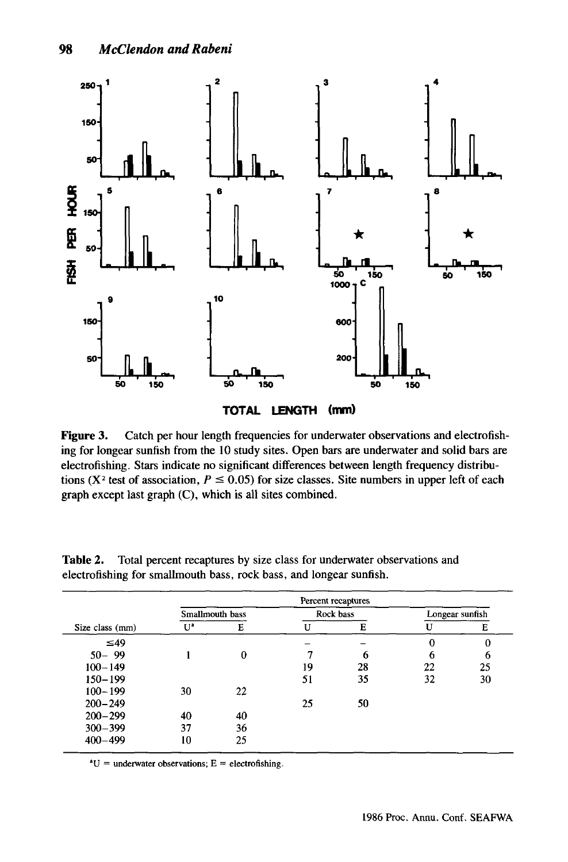

**Figure 3.** Catch per hour length frequencies for underwater observations and electrofishing for longear sunfish from the 10 study sites. Open bars are underwater and solid bars are electrofishing. Stars indicate no significant differences between length frequency distributions (X<sup>2</sup> test of association,  $P \le 0.05$ ) for size classes. Site numbers in upper left of each graph except last graph (C), which is all sites combined.

|                 | Percent recaptures |    |    |           |                 |    |  |
|-----------------|--------------------|----|----|-----------|-----------------|----|--|
|                 | Smallmouth bass    |    |    | Rock bass | Longear sunfish |    |  |
| Size class (mm) | $U^a$              | Е  | H  | Е         |                 | Е  |  |
| $\leq 49$       |                    |    |    |           |                 | 0  |  |
| $50 - 99$       |                    | 0  |    | 6         |                 | 6  |  |
| $100 - 149$     |                    |    | 19 | 28        | 22              | 25 |  |
| $150 - 199$     |                    |    | 51 | 35        | 32              | 30 |  |
| $100 - 199$     | 30                 | 22 |    |           |                 |    |  |
| $200 - 249$     |                    |    | 25 | 50        |                 |    |  |
| $200 - 299$     | 40                 | 40 |    |           |                 |    |  |
| $300 - 399$     | 37                 | 36 |    |           |                 |    |  |
| $400 - 499$     | 10                 | 25 |    |           |                 |    |  |

**Table** 2. Total percent recaptures by size class for underwater observations and electrofishing for smallmouth bass, rock bass, and longear sunfish.

 $\mathrm{^{a}U}$  = underwater observations; E = electrofishing.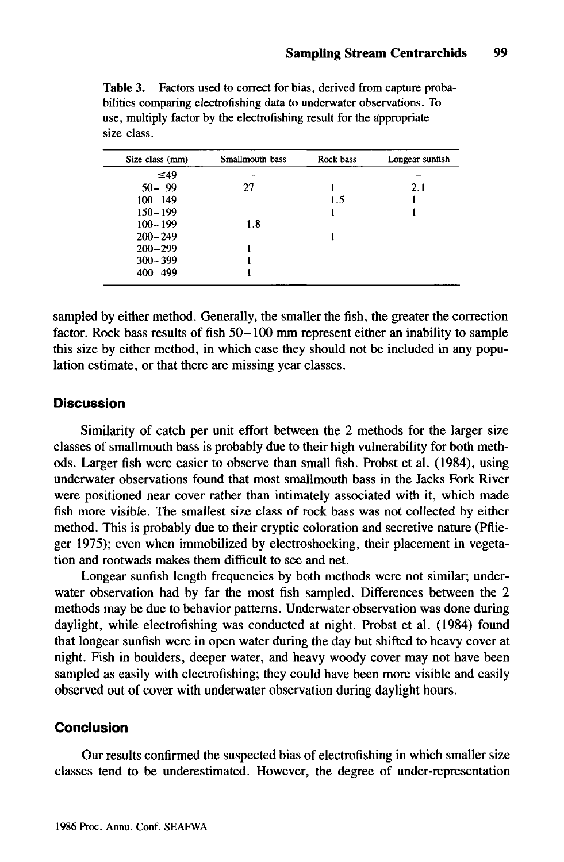| Size class (mm) | Smallmouth bass | Rock bass | Longear sunfish |
|-----------------|-----------------|-----------|-----------------|
| $\leq 49$       |                 |           |                 |
| $50 - 99$       | 27              |           | 2.1             |
| $100 - 149$     |                 | 1.5       |                 |
| $150 - 199$     |                 |           |                 |
| $100 - 199$     | 1.8             |           |                 |
| $200 - 249$     |                 |           |                 |
| $200 - 299$     |                 |           |                 |
| $300 - 399$     |                 |           |                 |
| $400 - 499$     |                 |           |                 |

**Table** 3. Factors used to correct for bias, derived from capture probabilities comparing electrofishing data to underwater observations. To use, multiply factor by the electrofishing result for the appropriate size class.

sampled by either method. Generally, the smaller the fish, the greater the correction factor. Rock bass results of fish 50-100 mm represent either an inability to sample this size by either method, in which case they should not be included in any population estimate, or that there are missing year classes.

### **Discussion**

Similarity of catch per unit effort between the 2 methods for the larger size classes ofsmallmouth bass is probably due to their high vulnerability for both methods. Larger fish were easier to observe than small fish. Probst et al. (1984), using underwater observations found that most smallmouth bass in the Jacks Fork River were positioned near cover rather than intimately associated with it, which made fish more visible. The smallest size class of rock bass was not collected by either method. This is probably due to their cryptic coloration and secretive nature (Pflieger 1975); even when immobilized by electroshocking, their placement in vegetation and rootwads makes them difficult to see and net.

Longear sunfish length frequencies by both methods were not similar; underwater observation had by far the most fish sampled. Differences between the 2 methods may be due to behavior patterns. Underwater observation was done during daylight, while electrofishing was conducted at night. Probst et al. (1984) found that longear sunfish were in open water during the day but shifted to heavy cover at night. Fish in boulders, deeper water, and heavy woody cover may not have been sampled as easily with electrofishing; they could have been more visible and easily observed out of cover with underwater observation during daylight hours.

## **Conclusion**

Our results confirmed the suspected bias of electrofishing in which smaller size classes tend to be underestimated. However, the degree of under-representation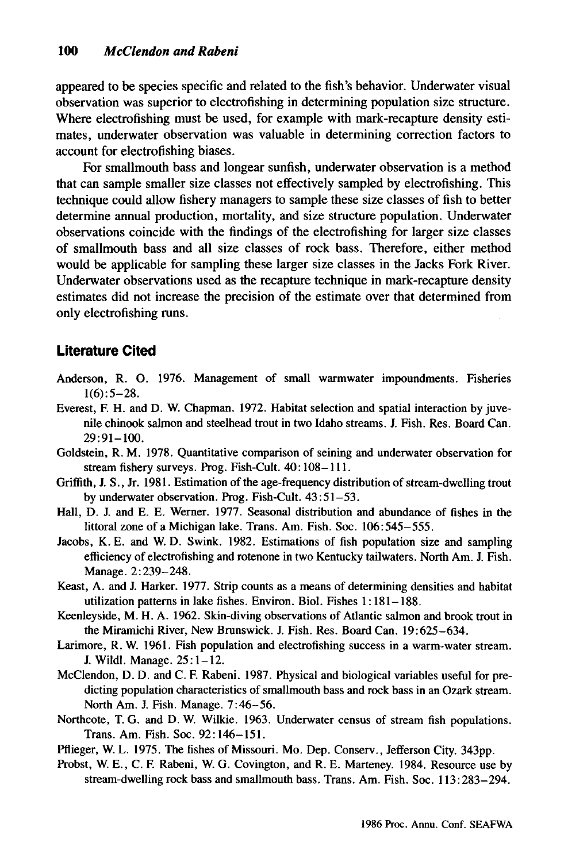appeared to be species specific and related to the fish's behavior. Underwater visual observation was superior to electrofishing in determining population size structure. Where electrofishing must be used, for example with mark-recapture density estimates, underwater observation was valuable in determining correction factors to account for electrofishing biases.

For smallmouth bass and longear sunfish, underwater observation is a method that can sample smaller size classes not effectively sampled by electrofishing. This technique could allow fishery managers to sample these size classes of fish to better determine annual production, mortality, and size structure population. Underwater observations coincide with the findings of the electrofishing for larger size classes of smallmouth bass and all size classes of rock bass. Therefore, either method would be applicable for sampling these larger size classes in the Jacks Fork River. Underwater observations used as the recapture technique in mark-recapture density estimates did not increase the precision of the estimate over that determined from only electrofishing runs.

# **Literature Cited**

- Anderson, R. O. 1976. Management of small warmwater impoundments. Fisheries  $1(6): 5-28.$
- Everest, F. H. and D. W. Chapman. 1972. Habitat selection and spatial interaction by juvenile chinook salmon and steelhead trout in two Idaho streams. 1. Fish. Res. Board Can.  $29:91-100.$
- Goldstein, R. M. 1978. Quantitative comparison of seining and underwater observation for stream fishery surveys. Prog. Fish-Cult. 40: 108-111.
- Griffith, J. S., Jr. 1981. Estimation of the age-frequency distribution of stream-dwelling trout by underwater observation. Prog. Fish-Cult. 43: 51-53.
- Hall, D. 1. and E. E. Werner. 1977. Seasonal distribution and abundance of fishes in the littoral zone of a Michigan lake. Trans. Am. Fish. Soc. 106:545-555.
- Jacobs, K. E. and W. D. Swink. 1982. Estimations of fish population size and sampling efficiency of electrofishing and rotenone in two Kentucky tailwaters. North Am. 1. Fish. Manage. 2:239-248.
- Keast, A. and 1. Harker. 1977. Strip counts as a means of determining densities and habitat utilization patterns in lake fishes. Environ. BioI. Fishes 1: 181-188.
- Keenleyside, M. H. A. 1962. Skin-diving observations of Atlantic salmon and brook trout in the Miramichi River, New Brunswick. 1. Fish. Res. Board Can. 19:625-634.
- Larimore, R. W. 1961. Fish population and electrofishing success in a warm-water stream. 1. Wildl. Manage. 25: 1-12.
- McClendon, D. D. and C. F. Rabeni. 1987. Physical and biological variables useful for predicting population characteristics of smallmouth bass and rock bass in an Ozark stream. North Am. 1. Fish. Manage. 7:46-56.
- Northcote, T. G. and D. W. Wilkie. 1963. Underwater census of stream fish populations. Trans. Am. Fish. Soc. 92: 146-151.

Pflieger, W. L. 1975. The fishes of Missouri. Mo. Dep. Conserv., Jefferson City. 343pp.

Probst, W. E., C. F. Rabeni, W. G. Covington, and R. E. Marteney. 1984. Resource use by stream-dwelling rock bass and smallmouth bass. Trans. Am. Fish. Soc. 113: 283-294.